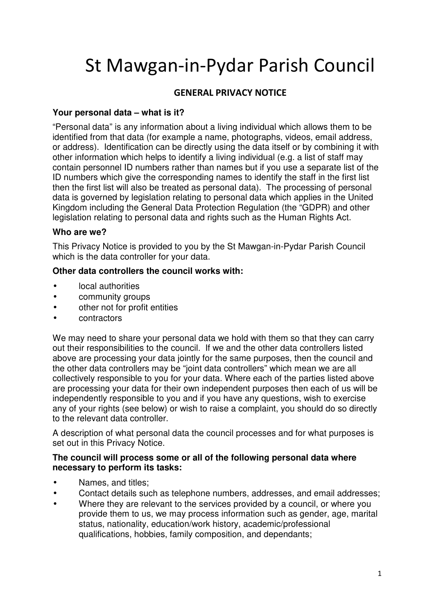# St Mawgan-in-Pydar Parish Council

# **GENERAL PRIVACY NOTICE**

## **Your personal data – what is it?**

"Personal data" is any information about a living individual which allows them to be identified from that data (for example a name, photographs, videos, email address, or address). Identification can be directly using the data itself or by combining it with other information which helps to identify a living individual (e.g. a list of staff may contain personnel ID numbers rather than names but if you use a separate list of the ID numbers which give the corresponding names to identify the staff in the first list then the first list will also be treated as personal data). The processing of personal data is governed by legislation relating to personal data which applies in the United Kingdom including the General Data Protection Regulation (the "GDPR) and other legislation relating to personal data and rights such as the Human Rights Act.

#### **Who are we?**

This Privacy Notice is provided to you by the St Mawgan-in-Pydar Parish Council which is the data controller for your data.

## **Other data controllers the council works with:**

- local authorities
- community groups
- other not for profit entities
- contractors

We may need to share your personal data we hold with them so that they can carry out their responsibilities to the council. If we and the other data controllers listed above are processing your data jointly for the same purposes, then the council and the other data controllers may be "joint data controllers" which mean we are all collectively responsible to you for your data. Where each of the parties listed above are processing your data for their own independent purposes then each of us will be independently responsible to you and if you have any questions, wish to exercise any of your rights (see below) or wish to raise a complaint, you should do so directly to the relevant data controller.

A description of what personal data the council processes and for what purposes is set out in this Privacy Notice.

#### **The council will process some or all of the following personal data where necessary to perform its tasks:**

- Names, and titles;
- Contact details such as telephone numbers, addresses, and email addresses;
- Where they are relevant to the services provided by a council, or where you provide them to us, we may process information such as gender, age, marital status, nationality, education/work history, academic/professional qualifications, hobbies, family composition, and dependants;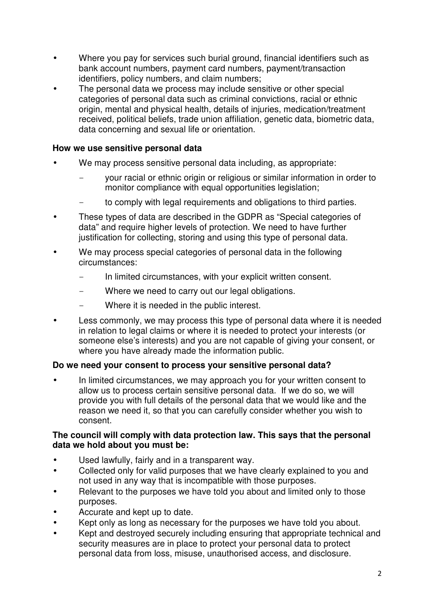- Where you pay for services such burial ground, financial identifiers such as bank account numbers, payment card numbers, payment/transaction identifiers, policy numbers, and claim numbers;
- The personal data we process may include sensitive or other special categories of personal data such as criminal convictions, racial or ethnic origin, mental and physical health, details of injuries, medication/treatment received, political beliefs, trade union affiliation, genetic data, biometric data, data concerning and sexual life or orientation.

#### **How we use sensitive personal data**

- We may process sensitive personal data including, as appropriate:
	- your racial or ethnic origin or religious or similar information in order to monitor compliance with equal opportunities legislation;
	- to comply with legal requirements and obligations to third parties.
- These types of data are described in the GDPR as "Special categories of data" and require higher levels of protection. We need to have further justification for collecting, storing and using this type of personal data.
- We may process special categories of personal data in the following circumstances:
	- In limited circumstances, with your explicit written consent.
	- Where we need to carry out our legal obligations.
	- Where it is needed in the public interest.
- Less commonly, we may process this type of personal data where it is needed in relation to legal claims or where it is needed to protect your interests (or someone else's interests) and you are not capable of giving your consent, or where you have already made the information public.

## **Do we need your consent to process your sensitive personal data?**

In limited circumstances, we may approach you for your written consent to allow us to process certain sensitive personal data. If we do so, we will provide you with full details of the personal data that we would like and the reason we need it, so that you can carefully consider whether you wish to consent.

#### **The council will comply with data protection law. This says that the personal data we hold about you must be:**

- Used lawfully, fairly and in a transparent way.
- Collected only for valid purposes that we have clearly explained to you and not used in any way that is incompatible with those purposes.
- Relevant to the purposes we have told you about and limited only to those purposes.
- Accurate and kept up to date.
- Kept only as long as necessary for the purposes we have told you about.
- Kept and destroyed securely including ensuring that appropriate technical and security measures are in place to protect your personal data to protect personal data from loss, misuse, unauthorised access, and disclosure.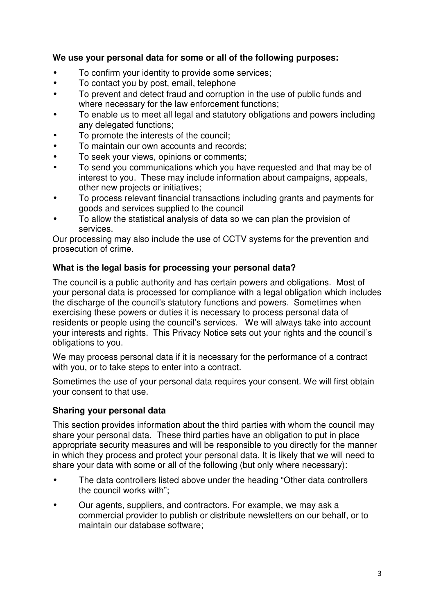## **We use your personal data for some or all of the following purposes:**

- To confirm your identity to provide some services;
- To contact you by post, email, telephone
- To prevent and detect fraud and corruption in the use of public funds and where necessary for the law enforcement functions;
- To enable us to meet all legal and statutory obligations and powers including any delegated functions;
- To promote the interests of the council;
- To maintain our own accounts and records;
- To seek your views, opinions or comments;
- To send you communications which you have requested and that may be of interest to you. These may include information about campaigns, appeals, other new projects or initiatives;
- To process relevant financial transactions including grants and payments for goods and services supplied to the council
- To allow the statistical analysis of data so we can plan the provision of services.

Our processing may also include the use of CCTV systems for the prevention and prosecution of crime.

#### **What is the legal basis for processing your personal data?**

The council is a public authority and has certain powers and obligations. Most of your personal data is processed for compliance with a legal obligation which includes the discharge of the council's statutory functions and powers. Sometimes when exercising these powers or duties it is necessary to process personal data of residents or people using the council's services. We will always take into account your interests and rights. This Privacy Notice sets out your rights and the council's obligations to you.

We may process personal data if it is necessary for the performance of a contract with you, or to take steps to enter into a contract.

Sometimes the use of your personal data requires your consent. We will first obtain your consent to that use.

#### **Sharing your personal data**

This section provides information about the third parties with whom the council may share your personal data. These third parties have an obligation to put in place appropriate security measures and will be responsible to you directly for the manner in which they process and protect your personal data. It is likely that we will need to share your data with some or all of the following (but only where necessary):

- The data controllers listed above under the heading "Other data controllers" the council works with";
- Our agents, suppliers, and contractors. For example, we may ask a commercial provider to publish or distribute newsletters on our behalf, or to maintain our database software;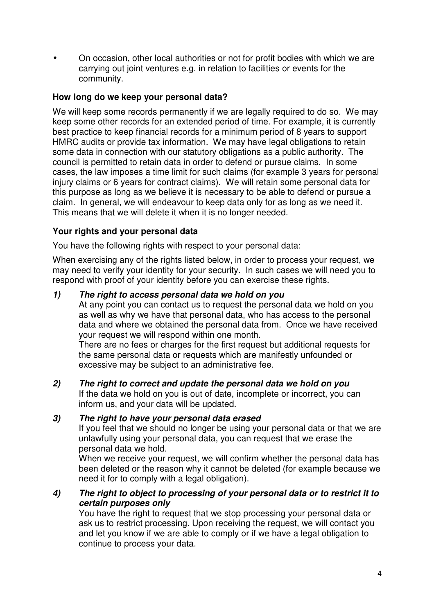• On occasion, other local authorities or not for profit bodies with which we are carrying out joint ventures e.g. in relation to facilities or events for the community.

## **How long do we keep your personal data?**

We will keep some records permanently if we are legally required to do so. We may keep some other records for an extended period of time. For example, it is currently best practice to keep financial records for a minimum period of 8 years to support HMRC audits or provide tax information. We may have legal obligations to retain some data in connection with our statutory obligations as a public authority. The council is permitted to retain data in order to defend or pursue claims. In some cases, the law imposes a time limit for such claims (for example 3 years for personal injury claims or 6 years for contract claims). We will retain some personal data for this purpose as long as we believe it is necessary to be able to defend or pursue a claim. In general, we will endeavour to keep data only for as long as we need it. This means that we will delete it when it is no longer needed.

## **Your rights and your personal data**

You have the following rights with respect to your personal data:

When exercising any of the rights listed below, in order to process your request, we may need to verify your identity for your security. In such cases we will need you to respond with proof of your identity before you can exercise these rights.

## **1) The right to access personal data we hold on you**

At any point you can contact us to request the personal data we hold on you as well as why we have that personal data, who has access to the personal data and where we obtained the personal data from. Once we have received your request we will respond within one month.

There are no fees or charges for the first request but additional requests for the same personal data or requests which are manifestly unfounded or excessive may be subject to an administrative fee.

**2) The right to correct and update the personal data we hold on you**  If the data we hold on you is out of date, incomplete or incorrect, you can inform us, and your data will be updated.

## **3) The right to have your personal data erased**

If you feel that we should no longer be using your personal data or that we are unlawfully using your personal data, you can request that we erase the personal data we hold.

When we receive your request, we will confirm whether the personal data has been deleted or the reason why it cannot be deleted (for example because we need it for to comply with a legal obligation).

## **4) The right to object to processing of your personal data or to restrict it to certain purposes only**

You have the right to request that we stop processing your personal data or ask us to restrict processing. Upon receiving the request, we will contact you and let you know if we are able to comply or if we have a legal obligation to continue to process your data.